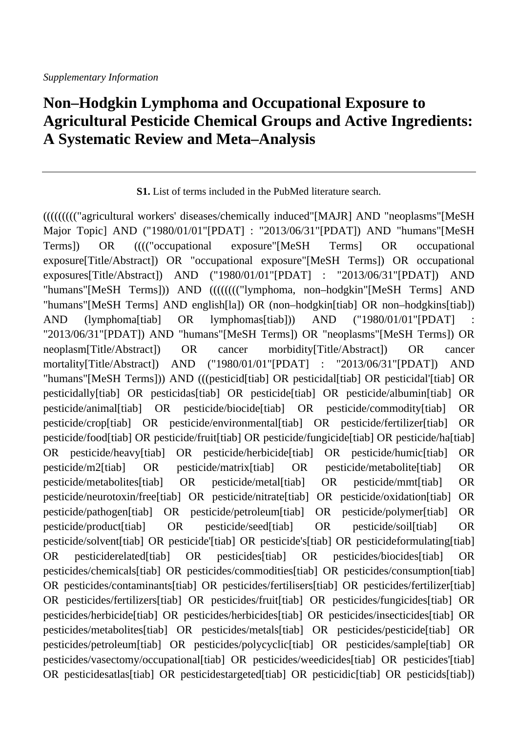## **Non–Hodgkin Lymphoma and Occupational Exposure to Agricultural Pesticide Chemical Groups and Active Ingredients: A Systematic Review and Meta–Analysis**

**S1.** List of terms included in the PubMed literature search.

((((((((("agricultural workers' diseases/chemically induced"[MAJR] AND "neoplasms"[MeSH Major Topic] AND ("1980/01/01"[PDAT] : "2013/06/31"[PDAT]) AND "humans"[MeSH Terms]) OR (((("occupational exposure"[MeSH Terms] OR occupational exposure[Title/Abstract]) OR "occupational exposure"[MeSH Terms]) OR occupational exposures[Title/Abstract]) AND ("1980/01/01"[PDAT] : "2013/06/31"[PDAT]) AND "humans"[MeSH Terms])) AND (((((((("lymphoma, non–hodgkin"[MeSH Terms] AND "humans"[MeSH Terms] AND english[la]) OR (non–hodgkin[tiab] OR non–hodgkins[tiab]) AND (lymphoma[tiab] OR lymphomas[tiab])) AND ("1980/01/01"[PDAT] "2013/06/31"[PDAT]) AND "humans"[MeSH Terms]) OR "neoplasms"[MeSH Terms]) OR neoplasm[Title/Abstract]) OR cancer morbidity[Title/Abstract]) OR cancer mortality[Title/Abstract]) AND ("1980/01/01"[PDAT] : "2013/06/31"[PDAT]) AND "humans"[MeSH Terms])) AND (((pesticid[tiab] OR pesticidal[tiab] OR pesticidal'[tiab] OR pesticidally[tiab] OR pesticidas[tiab] OR pesticide[tiab] OR pesticide/albumin[tiab] OR pesticide/animal[tiab] OR pesticide/biocide[tiab] OR pesticide/commodity[tiab] OR pesticide/crop[tiab] OR pesticide/environmental[tiab] OR pesticide/fertilizer[tiab] OR pesticide/food[tiab] OR pesticide/fruit[tiab] OR pesticide/fungicide[tiab] OR pesticide/ha[tiab] OR pesticide/heavy[tiab] OR pesticide/herbicide[tiab] OR pesticide/humic[tiab] OR pesticide/m2[tiab] OR pesticide/matrix[tiab] OR pesticide/metabolite[tiab] OR pesticide/metabolites[tiab] OR pesticide/metal[tiab] OR pesticide/mmt[tiab] OR pesticide/neurotoxin/free[tiab] OR pesticide/nitrate[tiab] OR pesticide/oxidation[tiab] OR pesticide/pathogen[tiab] OR pesticide/petroleum[tiab] OR pesticide/polymer[tiab] OR pesticide/product[tiab] OR pesticide/seed[tiab] OR pesticide/soil[tiab] OR pesticide/solvent[tiab] OR pesticide'[tiab] OR pesticide's[tiab] OR pesticideformulating[tiab] OR pesticiderelated[tiab] OR pesticides[tiab] OR pesticides/biocides[tiab] OR pesticides/chemicals[tiab] OR pesticides/commodities[tiab] OR pesticides/consumption[tiab] OR pesticides/contaminants[tiab] OR pesticides/fertilisers[tiab] OR pesticides/fertilizer[tiab] OR pesticides/fertilizers[tiab] OR pesticides/fruit[tiab] OR pesticides/fungicides[tiab] OR pesticides/herbicide[tiab] OR pesticides/herbicides[tiab] OR pesticides/insecticides[tiab] OR pesticides/metabolites[tiab] OR pesticides/metals[tiab] OR pesticides/pesticide[tiab] OR pesticides/petroleum[tiab] OR pesticides/polycyclic[tiab] OR pesticides/sample[tiab] OR pesticides/vasectomy/occupational[tiab] OR pesticides/weedicides[tiab] OR pesticides'[tiab] OR pesticidesatlas[tiab] OR pesticidestargeted[tiab] OR pesticidic[tiab] OR pesticids[tiab])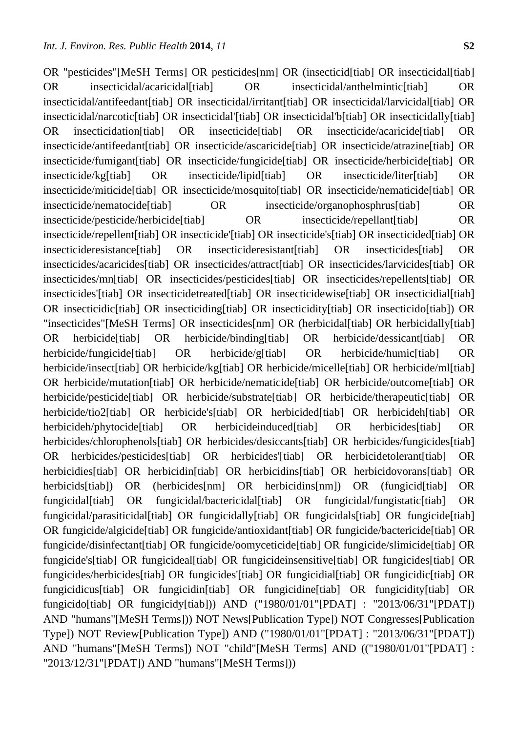OR "pesticides"[MeSH Terms] OR pesticides[nm] OR (insecticid[tiab] OR insecticidal[tiab] OR insecticidal/acaricidal[tiab] OR insecticidal/anthelmintic[tiab] OR insecticidal/antifeedant[tiab] OR insecticidal/irritant[tiab] OR insecticidal/larvicidal[tiab] OR insecticidal/narcotic[tiab] OR insecticidal'[tiab] OR insecticidal'b[tiab] OR insecticidally[tiab] OR insecticidation[tiab] OR insecticide[tiab] OR insecticide/acaricide[tiab] OR insecticide/antifeedant[tiab] OR insecticide/ascaricide[tiab] OR insecticide/atrazine[tiab] OR insecticide/fumigant[tiab] OR insecticide/fungicide[tiab] OR insecticide/herbicide[tiab] OR insecticide/kg[tiab] OR insecticide/lipid[tiab] OR insecticide/liter[tiab] OR insecticide/miticide[tiab] OR insecticide/mosquito[tiab] OR insecticide/nematicide[tiab] OR insecticide/nematocide[tiab] OR insecticide/organophosphrus[tiab] OR insecticide/pesticide/herbicide[tiab] OR insecticide/repellant[tiab] OR insecticide/repellent[tiab] OR insecticide'[tiab] OR insecticide's[tiab] OR insecticided[tiab] OR insecticideresistance[tiab] OR insecticideresistant[tiab] OR insecticides[tiab] OR insecticides/acaricides[tiab] OR insecticides/attract[tiab] OR insecticides/larvicides[tiab] OR insecticides/mn[tiab] OR insecticides/pesticides[tiab] OR insecticides/repellents[tiab] OR insecticides'[tiab] OR insecticidetreated[tiab] OR insecticidewise[tiab] OR insecticidial[tiab] OR insecticidic[tiab] OR insecticiding[tiab] OR insecticidity[tiab] OR insecticido[tiab]) OR "insecticides"[MeSH Terms] OR insecticides[nm] OR (herbicidal[tiab] OR herbicidally[tiab] OR herbicide[tiab] OR herbicide/binding[tiab] OR herbicide/dessicant[tiab] OR herbicide/fungicide[tiab] OR herbicide/g[tiab] OR herbicide/humic[tiab] OR herbicide/insect[tiab] OR herbicide/kg[tiab] OR herbicide/micelle[tiab] OR herbicide/ml[tiab] OR herbicide/mutation[tiab] OR herbicide/nematicide[tiab] OR herbicide/outcome[tiab] OR herbicide/pesticide[tiab] OR herbicide/substrate[tiab] OR herbicide/therapeutic[tiab] OR herbicide/tio2[tiab] OR herbicide's[tiab] OR herbicided[tiab] OR herbicideh[tiab] OR herbicideh/phytocide[tiab] OR herbicideinduced[tiab] OR herbicides[tiab] OR herbicides/chlorophenols[tiab] OR herbicides/desiccants[tiab] OR herbicides/fungicides[tiab] OR herbicides/pesticides[tiab] OR herbicides'[tiab] OR herbicidetolerant[tiab] OR herbicidies[tiab] OR herbicidin[tiab] OR herbicidins[tiab] OR herbicidovorans[tiab] OR herbicids[tiab]) OR (herbicides[nm] OR herbicidins[nm]) OR (fungicid[tiab] OR fungicidal[tiab] OR fungicidal/bactericidal[tiab] OR fungicidal/fungistatic[tiab] OR fungicidal/parasiticidal[tiab] OR fungicidally[tiab] OR fungicidals[tiab] OR fungicide[tiab] OR fungicide/algicide[tiab] OR fungicide/antioxidant[tiab] OR fungicide/bactericide[tiab] OR fungicide/disinfectant[tiab] OR fungicide/oomyceticide[tiab] OR fungicide/slimicide[tiab] OR fungicide's[tiab] OR fungicideal[tiab] OR fungicideinsensitive[tiab] OR fungicides[tiab] OR fungicides/herbicides[tiab] OR fungicides'[tiab] OR fungicidial[tiab] OR fungicidic[tiab] OR fungicidicus[tiab] OR fungicidin[tiab] OR fungicidine[tiab] OR fungicidity[tiab] OR fungicido[tiab] OR fungicidy[tiab])) AND ("1980/01/01"[PDAT] : "2013/06/31"[PDAT]) AND "humans"[MeSH Terms])) NOT News[Publication Type]) NOT Congresses[Publication Type]) NOT Review[Publication Type]) AND ("1980/01/01"[PDAT] : "2013/06/31"[PDAT]) AND "humans"[MeSH Terms]) NOT "child"[MeSH Terms] AND (("1980/01/01"[PDAT] : "2013/12/31"[PDAT]) AND "humans"[MeSH Terms]))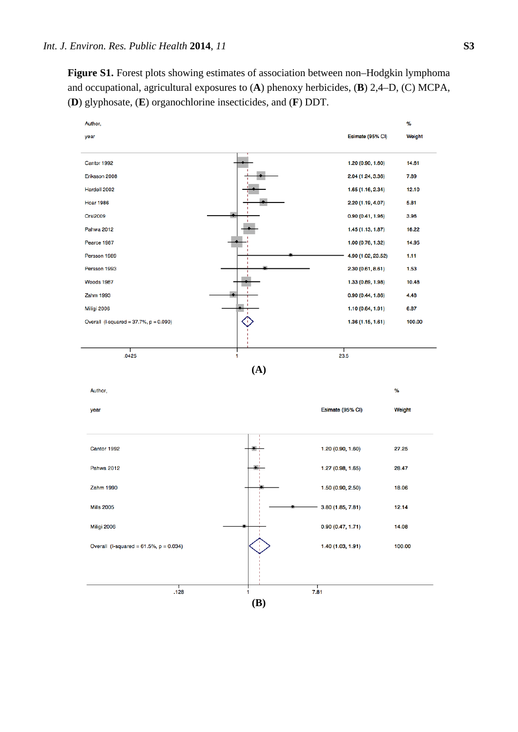**Figure S1.** Forest plots showing estimates of association between non–Hodgkin lymphoma and occupational, agricultural exposures to (**A**) phenoxy herbicides, (**B**) 2,4–D, (C) MCPA, (**D**) glyphosate, (**E**) organochlorine insecticides, and (**F**) DDT.

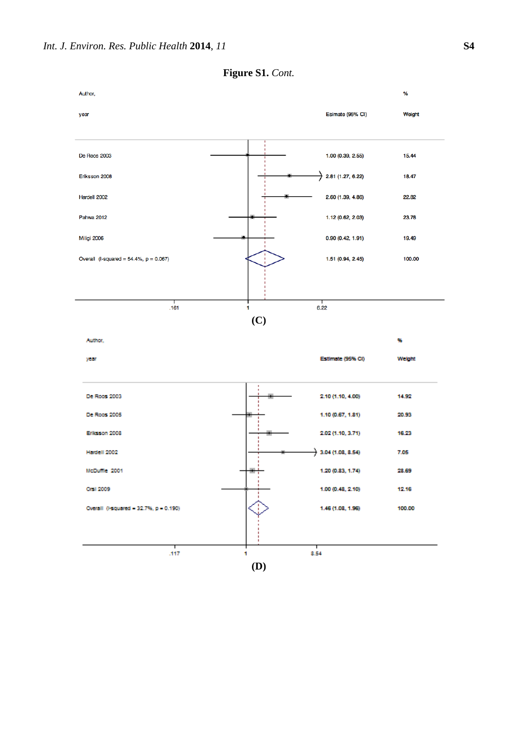

**Figure S1.** *Cont.*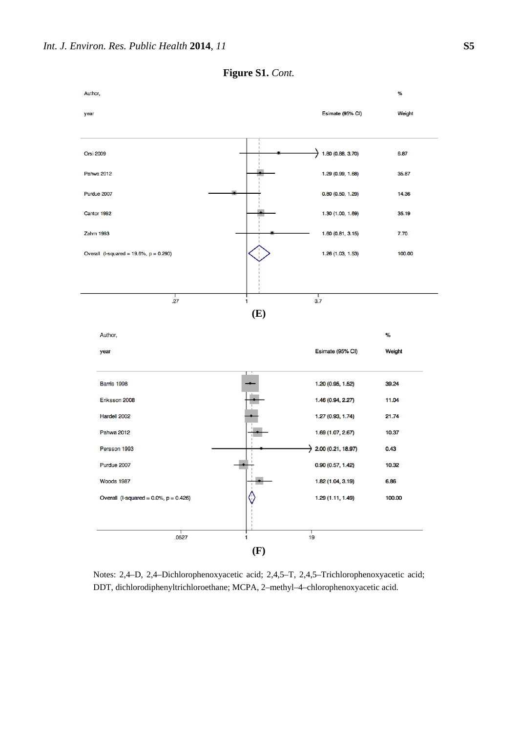

**Figure S1.** *Cont.* 

Notes: 2,4–D, 2,4–Dichlorophenoxyacetic acid; 2,4,5–T, 2,4,5–Trichlorophenoxyacetic acid; DDT, dichlorodiphenyltrichloroethane; MCPA, 2–methyl–4–chlorophenoxyacetic acid.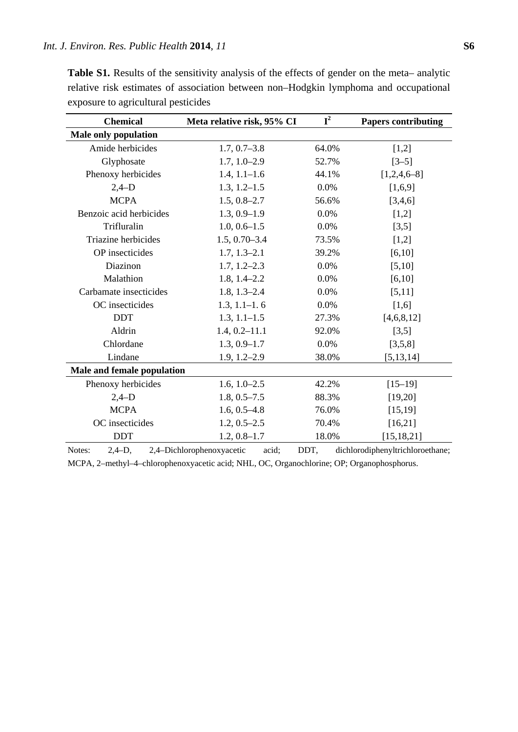| <b>Chemical</b>             | Meta relative risk, 95% CI | ${\bf I}^2$ | <b>Papers contributing</b> |
|-----------------------------|----------------------------|-------------|----------------------------|
| <b>Male only population</b> |                            |             |                            |
| Amide herbicides            | $1.7, 0.7 - 3.8$           | 64.0%       | [1,2]                      |
| Glyphosate                  | $1.7, 1.0 - 2.9$           | 52.7%       | $[3-5]$                    |
| Phenoxy herbicides          | $1.4, 1.1 - 1.6$           | 44.1%       | $[1,2,4,6-8]$              |
| $2,4-D$                     | $1.3, 1.2 - 1.5$           | 0.0%        | [1,6,9]                    |
| <b>MCPA</b>                 | $1.5, 0.8 - 2.7$           | 56.6%       | [3,4,6]                    |
| Benzoic acid herbicides     | $1.3, 0.9 - 1.9$           | 0.0%        | [1,2]                      |
| Trifluralin                 | $1.0, 0.6 - 1.5$           | 0.0%        | [3,5]                      |
| Triazine herbicides         | $1.5, 0.70 - 3.4$          | 73.5%       | [1,2]                      |
| OP insecticides             | $1.7, 1.3 - 2.1$           | 39.2%       | [6, 10]                    |
| Diazinon                    | $1.7, 1.2 - 2.3$           | 0.0%        | [5,10]                     |
| Malathion                   | $1.8, 1.4 - 2.2$           | 0.0%        | [6, 10]                    |
| Carbamate insecticides      | $1.8, 1.3 - 2.4$           | 0.0%        | [5, 11]                    |
| OC insecticides             | $1.3, 1.1 - 1.6$           | 0.0%        | [1,6]                      |
| <b>DDT</b>                  | $1.3, 1.1 - 1.5$           | 27.3%       | [4,6,8,12]                 |
| Aldrin                      | $1.4, 0.2 - 11.1$          | 92.0%       | [3,5]                      |
| Chlordane                   | $1.3, 0.9 - 1.7$           | 0.0%        | [3,5,8]                    |
| Lindane                     | $1.9, 1.2 - 2.9$           | 38.0%       | [5, 13, 14]                |
| Male and female population  |                            |             |                            |
| Phenoxy herbicides          | $1.6, 1.0 - 2.5$           | 42.2%       | $[15-19]$                  |
| $2,4-D$                     | $1.8, 0.5 - 7.5$           | 88.3%       | [19,20]                    |
| <b>MCPA</b>                 | $1.6, 0.5 - 4.8$           | 76.0%       | [15, 19]                   |
| OC insecticides             | $1.2, 0.5 - 2.5$           | 70.4%       | [16,21]                    |
| <b>DDT</b>                  | $1.2, 0.8 - 1.7$           | 18.0%       | [15, 18, 21]               |

Table S1. Results of the sensitivity analysis of the effects of gender on the meta– analytic relative risk estimates of association between non–Hodgkin lymphoma and occupational exposure to agricultural pesticides

Notes: 2,4–D, 2,4–Dichlorophenoxyacetic acid; DDT, dichlorodiphenyltrichloroethane; MCPA, 2–methyl–4–chlorophenoxyacetic acid; NHL, OC, Organochlorine; OP; Organophosphorus.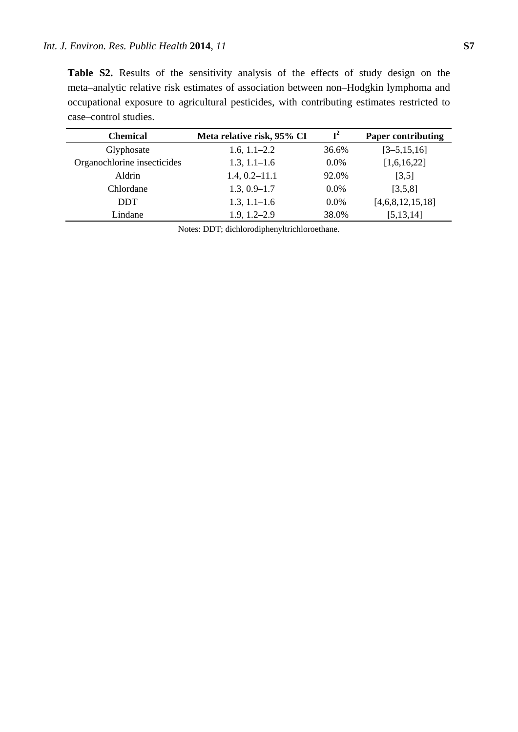**Table S2.** Results of the sensitivity analysis of the effects of study design on the meta–analytic relative risk estimates of association between non–Hodgkin lymphoma and occupational exposure to agricultural pesticides, with contributing estimates restricted to case–control studies.

| <b>Chemical</b>             | Meta relative risk, 95% CI | $\mathbf{I}^2$ | <b>Paper contributing</b> |
|-----------------------------|----------------------------|----------------|---------------------------|
| Glyphosate                  | $1.6, 1.1 - 2.2$           | 36.6%          | $[3 - 5, 15, 16]$         |
| Organochlorine insecticides | $1.3, 1.1 - 1.6$           | $0.0\%$        | [1,6,16,22]               |
| Aldrin                      | $1.4, 0.2 - 11.1$          | 92.0%          | [3,5]                     |
| Chlordane                   | $1.3, 0.9 - 1.7$           | $0.0\%$        | [3,5,8]                   |
| DDT                         | $1.3, 1.1 - 1.6$           | $0.0\%$        | [4,6,8,12,15,18]          |
| Lindane                     | $1.9, 1.2 - 2.9$           | 38.0%          | [5, 13, 14]               |

Notes: DDT; dichlorodiphenyltrichloroethane.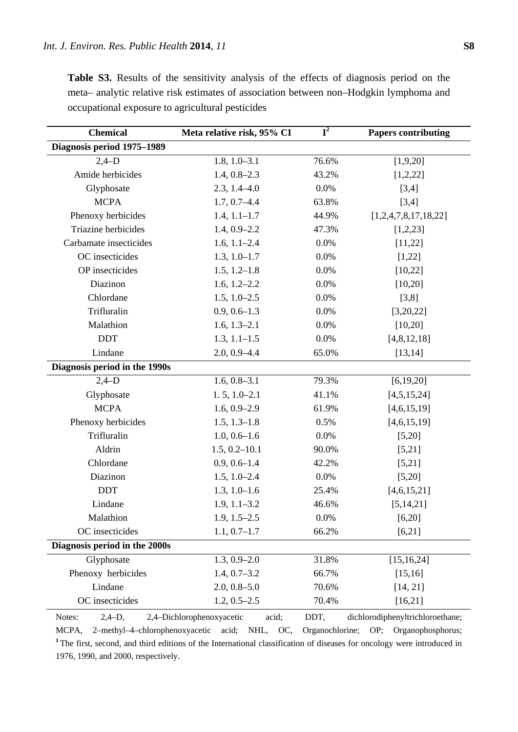| <b>Chemical</b>               | Meta relative risk, 95% CI | $\overline{\mathbf{I}^2}$ | <b>Papers contributing</b> |
|-------------------------------|----------------------------|---------------------------|----------------------------|
| Diagnosis period 1975-1989    |                            |                           |                            |
| $2,4-D$                       | $1.8, 1.0 - 3.1$           | 76.6%                     | [1,9,20]                   |
| Amide herbicides              | $1.4, 0.8 - 2.3$           | 43.2%                     | [1,2,22]                   |
| Glyphosate                    | $2.3, 1.4 - 4.0$           | 0.0%                      | [3,4]                      |
| <b>MCPA</b>                   | $1.7, 0.7 - 4.4$           | 63.8%                     | [3,4]                      |
| Phenoxy herbicides            | $1.4, 1.1 - 1.7$           | 44.9%                     | [1,2,4,7,8,17,18,22]       |
| Triazine herbicides           | $1.4, 0.9 - 2.2$           | 47.3%                     | [1,2,23]                   |
| Carbamate insecticides        | $1.6, 1.1 - 2.4$           | 0.0%                      | [11,22]                    |
| OC insecticides               | $1.3, 1.0 - 1.7$           | 0.0%                      | [1,22]                     |
| OP insecticides               | $1.5, 1.2 - 1.8$           | 0.0%                      | [10,22]                    |
| Diazinon                      | $1.6, 1.2 - 2.2$           | 0.0%                      | [10,20]                    |
| Chlordane                     | $1.5, 1.0 - 2.5$           | 0.0%                      | [3,8]                      |
| Trifluralin                   | $0.9, 0.6 - 1.3$           | 0.0%                      | [3,20,22]                  |
| Malathion                     | $1.6, 1.3 - 2.1$           | 0.0%                      | [10,20]                    |
| <b>DDT</b>                    | $1.3, 1.1 - 1.5$           | 0.0%                      | [4,8,12,18]                |
| Lindane                       | $2.0, 0.9 - 4.4$           | 65.0%                     | [13, 14]                   |
| Diagnosis period in the 1990s |                            |                           |                            |
| $2,4-D$                       | $1.6, 0.8 - 3.1$           | 79.3%                     | [6, 19, 20]                |
| Glyphosate                    | $1.5, 1.0 - 2.1$           | 41.1%                     | [4,5,15,24]                |
| <b>MCPA</b>                   | $1.6, 0.9 - 2.9$           | 61.9%                     | [4,6,15,19]                |
| Phenoxy herbicides            | $1.5, 1.3-1.8$             | 0.5%                      | [4,6,15,19]                |
| Trifluralin                   | $1.0, 0.6 - 1.6$           | 0.0%                      | [5,20]                     |
| Aldrin                        | $1.5, 0.2 - 10.1$          | 90.0%                     | [5,21]                     |
| Chlordane                     | $0.9, 0.6 - 1.4$           | 42.2%                     | [5,21]                     |
| Diazinon                      | $1.5, 1.0 - 2.4$           | 0.0%                      | [5,20]                     |
| <b>DDT</b>                    | $1.3, 1.0 - 1.6$           | 25.4%                     | [4,6,15,21]                |
| Lindane                       | $1.9, 1.1 - 3.2$           | 46.6%                     | [5, 14, 21]                |
| Malathion                     | $1.9, 1.5 - 2.5$           | 0.0%                      | [6,20]                     |
| OC insecticides               | $1.1, 0.7 - 1.7$           | 66.2%                     | [6,21]                     |
| Diagnosis period in the 2000s |                            |                           |                            |
| Glyphosate                    | $1.3, 0.9 - 2.0$           | 31.8%                     | [15, 16, 24]               |
| Phenoxy herbicides            | $1.4, 0.7 - 3.2$           | 66.7%                     | [15, 16]                   |
| Lindane                       | $2.0, 0.8 - 5.0$           | 70.6%                     | [14, 21]                   |
| OC insecticides               | $1.2, 0.5 - 2.5$           | 70.4%                     | [16,21]                    |

**Table S3.** Results of the sensitivity analysis of the effects of diagnosis period on the meta– analytic relative risk estimates of association between non–Hodgkin lymphoma and occupational exposure to agricultural pesticides

Notes: 2,4–D, 2,4–Dichlorophenoxyacetic acid; DDT, dichlorodiphenyltrichloroethane; MCPA, 2–methyl–4–chlorophenoxyacetic acid; NHL, OC, Organochlorine; OP; Organophosphorus; <sup>1</sup>The first, second, and third editions of the International classification of diseases for oncology were introduced in 1976, 1990, and 2000, respectively.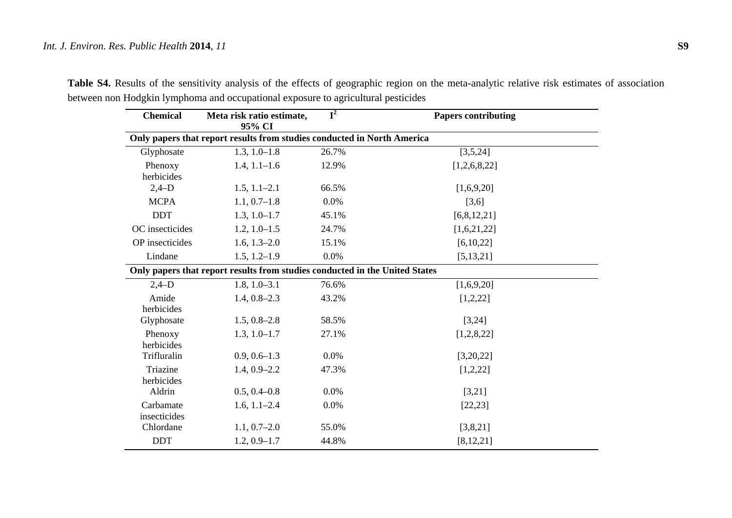| <b>Chemical</b>        | Meta risk ratio estimate,<br>95% CI                                         | $\mathbf{I}^2$ | <b>Papers contributing</b> |
|------------------------|-----------------------------------------------------------------------------|----------------|----------------------------|
|                        | Only papers that report results from studies conducted in North America     |                |                            |
| Glyphosate             | $1.3, 1.0 - 1.8$                                                            | 26.7%          | [3,5,24]                   |
| Phenoxy                | $1.4, 1.1 - 1.6$                                                            | 12.9%          | [1,2,6,8,22]               |
| herbicides             |                                                                             |                |                            |
| $2,4-D$                | $1.5, 1.1 - 2.1$                                                            | 66.5%          | [1,6,9,20]                 |
| <b>MCPA</b>            | $1.1, 0.7-1.8$                                                              | 0.0%           | [3,6]                      |
| <b>DDT</b>             | $1.3, 1.0 - 1.7$                                                            | 45.1%          | [6,8,12,21]                |
| OC insecticides        | $1.2, 1.0 - 1.5$                                                            | 24.7%          | [1,6,21,22]                |
| OP insecticides        | $1.6, 1.3 - 2.0$                                                            | 15.1%          | [6,10,22]                  |
| Lindane                | $1.5, 1.2 - 1.9$                                                            | 0.0%           | [5, 13, 21]                |
|                        | Only papers that report results from studies conducted in the United States |                |                            |
| $2,4-D$                | $1.8, 1.0 - 3.1$                                                            | 76.6%          | [1,6,9,20]                 |
| Amide                  | $1.4, 0.8 - 2.3$                                                            | 43.2%          | [1,2,22]                   |
| herbicides             |                                                                             |                |                            |
| Glyphosate             | $1.5, 0.8 - 2.8$                                                            | 58.5%          | [3,24]                     |
| Phenoxy                | $1.3, 1.0 - 1.7$                                                            | 27.1%          | [1,2,8,22]                 |
| herbicides             |                                                                             |                |                            |
| Trifluralin            | $0.9, 0.6 - 1.3$                                                            | 0.0%           | [3,20,22]                  |
| Triazine<br>herbicides | $1.4, 0.9 - 2.2$                                                            | 47.3%          | [1,2,22]                   |
| Aldrin                 | $0.5, 0.4 - 0.8$                                                            | 0.0%           | [3,21]                     |
| Carbamate              | $1.6, 1.1 - 2.4$                                                            | 0.0%           |                            |
| insecticides           |                                                                             |                | [22, 23]                   |
| Chlordane              | $1.1, 0.7-2.0$                                                              | 55.0%          | [3,8,21]                   |
| <b>DDT</b>             | $1.2, 0.9 - 1.7$                                                            | 44.8%          | [8, 12, 21]                |

Table S4. Results of the sensitivity analysis of the effects of geographic region on the meta-analytic relative risk estimates of association between non Hodgkin lymphoma and occupational exposure to agricultural pesticides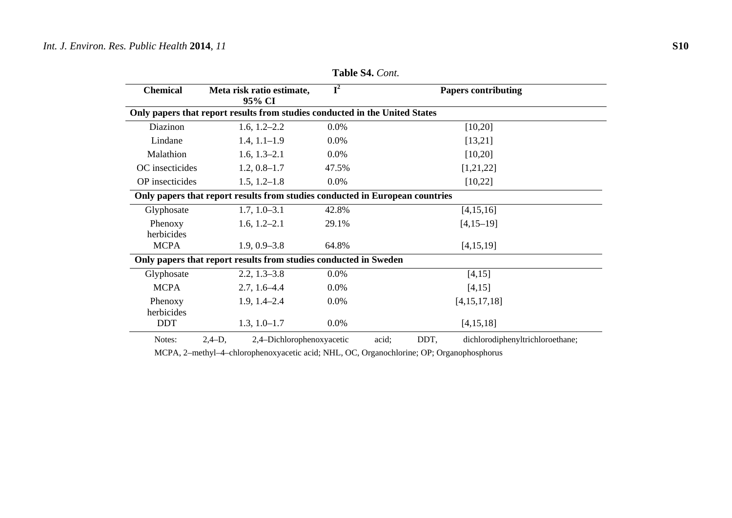| <b>Chemical</b>       | Meta risk ratio estimate,<br>95% CI                                          | $\overline{\mathbf{I}^2}$ | <b>Papers contributing</b>                             |
|-----------------------|------------------------------------------------------------------------------|---------------------------|--------------------------------------------------------|
|                       | Only papers that report results from studies conducted in the United States  |                           |                                                        |
| Diazinon              | $1.6, 1.2 - 2.2$                                                             | $0.0\%$                   | [10,20]                                                |
| Lindane               | $1.4, 1.1 - 1.9$                                                             | $0.0\%$                   | [13,21]                                                |
| Malathion             | $1.6, 1.3 - 2.1$                                                             | 0.0%                      | [10,20]                                                |
| OC insecticides       | $1.2, 0.8 - 1.7$                                                             | 47.5%                     | [1,21,22]                                              |
| OP insecticides       | $1.5, 1.2 - 1.8$                                                             | 0.0%                      | [10, 22]                                               |
|                       | Only papers that report results from studies conducted in European countries |                           |                                                        |
| Glyphosate            | $1.7, 1.0 - 3.1$                                                             | 42.8%                     | [4, 15, 16]                                            |
| Phenoxy<br>herbicides | $1.6, 1.2 - 2.1$                                                             | 29.1%                     | $[4, 15 - 19]$                                         |
| <b>MCPA</b>           | $1.9, 0.9 - 3.8$                                                             | 64.8%                     | [4, 15, 19]                                            |
|                       | Only papers that report results from studies conducted in Sweden             |                           |                                                        |
| Glyphosate            | $2.2, 1.3 - 3.8$                                                             | $0.0\%$                   | [4, 15]                                                |
| <b>MCPA</b>           | $2.7, 1.6 - 4.4$                                                             | 0.0%                      | [4, 15]                                                |
| Phenoxy<br>herbicides | $1.9, 1.4 - 2.4$                                                             | 0.0%                      | [4,15,17,18]                                           |
| <b>DDT</b>            | $1.3, 1.0 - 1.7$                                                             | $0.0\%$                   | [4, 15, 18]                                            |
| $N$ otos $\cdot$      | 24D<br>2.4 Dichlorophonovygootic                                             |                           | <b>DDT</b><br>dichlorodinhanyltrichloroathana<br>aoid: |

**Table S4.** *Cont.* 

Notes: 2,4–D, 2,4–Dichlorophenoxyacetic acid; DDT, dichlorodiphenyltrichloroethane;

MCPA, 2–methyl–4–chlorophenoxyacetic acid; NHL, OC, Organochlorine; OP; Organophosphorus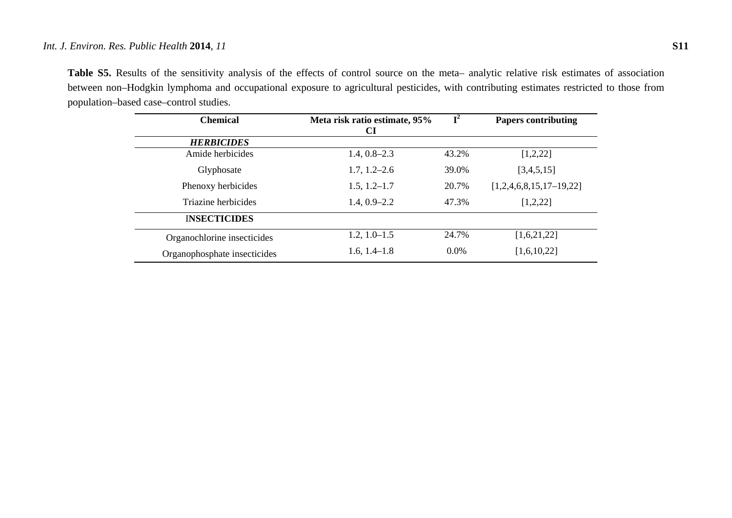## *Int. J. Environ. Res. Public Health* **2014**, *11* **S11**

**Table S5.** Results of the sensitivity analysis of the effects of control source on the meta– analytic relative risk estimates of association between non–Hodgkin lymphoma and occupational exposure to agricultural pesticides, with contributing estimates restricted to those from population–based case–control studies.

| <b>Chemical</b>              | Meta risk ratio estimate, 95%<br>CI | $\mathbf{T}^2$ | <b>Papers contributing</b> |
|------------------------------|-------------------------------------|----------------|----------------------------|
| <b>HERBICIDES</b>            |                                     |                |                            |
| Amide herbicides             | $1.4, 0.8 - 2.3$                    | 43.2%          | [1,2,22]                   |
| Glyphosate                   | $1.7, 1.2 - 2.6$                    | 39.0%          | [3,4,5,15]                 |
| Phenoxy herbicides           | $1.5, 1.2 - 1.7$                    | 20.7%          | $[1,2,4,6,8,15,17-19,22]$  |
| Triazine herbicides          | $1.4, 0.9 - 2.2$<br>47.3%           |                | [1,2,22]                   |
| <b>INSECTICIDES</b>          |                                     |                |                            |
| Organochlorine insecticides  | $1.2, 1.0 - 1.5$                    | 24.7%          | [1,6,21,22]                |
| Organophosphate insecticides | $1.6, 1.4 - 1.8$                    | $0.0\%$        | [1,6,10,22]                |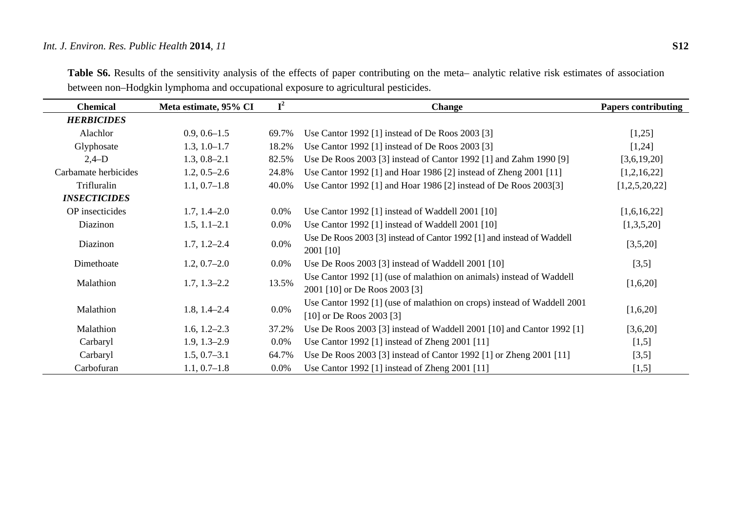## *Int. J. Environ. Res. Public Health* **2014**, *11* **S12**

| <b>Chemical</b>      | Meta estimate, 95% CI | ${\bf I}^2$ | <b>Change</b>                                                                                           | <b>Papers contributing</b> |
|----------------------|-----------------------|-------------|---------------------------------------------------------------------------------------------------------|----------------------------|
| <b>HERBICIDES</b>    |                       |             |                                                                                                         |                            |
| Alachlor             | $0.9, 0.6 - 1.5$      | 69.7%       | Use Cantor 1992 [1] instead of De Roos 2003 [3]                                                         | [1,25]                     |
| Glyphosate           | $1.3, 1.0 - 1.7$      | 18.2%       | Use Cantor 1992 [1] instead of De Roos 2003 [3]                                                         | [1,24]                     |
| $2,4-D$              | $1.3, 0.8 - 2.1$      | 82.5%       | Use De Roos 2003 [3] instead of Cantor 1992 [1] and Zahm 1990 [9]                                       | [3,6,19,20]                |
| Carbamate herbicides | $1.2, 0.5 - 2.6$      | 24.8%       | Use Cantor 1992 [1] and Hoar 1986 [2] instead of Zheng 2001 [11]                                        | [1,2,16,22]                |
| Trifluralin          | $1.1, 0.7-1.8$        | 40.0%       | Use Cantor 1992 [1] and Hoar 1986 [2] instead of De Roos 2003[3]                                        | [1,2,5,20,22]              |
| <b>INSECTICIDES</b>  |                       |             |                                                                                                         |                            |
| OP insecticides      | $1.7, 1.4 - 2.0$      | $0.0\%$     | Use Cantor 1992 [1] instead of Waddell 2001 [10]                                                        | [1,6,16,22]                |
| Diazinon             | $1.5, 1.1 - 2.1$      | $0.0\%$     | Use Cantor 1992 [1] instead of Waddell 2001 [10]                                                        | [1,3,5,20]                 |
| Diazinon             | $1.7, 1.2 - 2.4$      | 0.0%        | Use De Roos 2003 [3] instead of Cantor 1992 [1] and instead of Waddell<br>2001 [10]                     | [3,5,20]                   |
| Dimethoate           | $1.2, 0.7-2.0$        | $0.0\%$     | Use De Roos 2003 [3] instead of Waddell 2001 [10]                                                       | [3,5]                      |
| Malathion            | $1.7, 1.3 - 2.2$      | 13.5%       | Use Cantor 1992 [1] (use of malathion on animals) instead of Waddell<br>2001 [10] or De Roos 2003 [3]   | [1,6,20]                   |
| Malathion            | $1.8, 1.4 - 2.4$      | $0.0\%$     | Use Cantor 1992 [1] (use of malathion on crops) instead of Waddell 2001<br>$[10]$ or De Roos 2003 $[3]$ | [1,6,20]                   |
| Malathion            | $1.6, 1.2 - 2.3$      | 37.2%       | Use De Roos 2003 [3] instead of Waddell 2001 [10] and Cantor 1992 [1]                                   | [3,6,20]                   |
| Carbaryl             | $1.9, 1.3 - 2.9$      | $0.0\%$     | Use Cantor 1992 [1] instead of Zheng 2001 [11]                                                          | [1,5]                      |
| Carbaryl             | $1.5, 0.7-3.1$        | 64.7%       | Use De Roos 2003 [3] instead of Cantor 1992 [1] or Zheng 2001 [11]                                      | [3,5]                      |
| Carbofuran           | $1.1, 0.7-1.8$        | $0.0\%$     | Use Cantor 1992 [1] instead of Zheng 2001 [11]                                                          | [1,5]                      |

Table S6. Results of the sensitivity analysis of the effects of paper contributing on the meta- analytic relative risk estimates of association between non–Hodgkin lymphoma and occupational exposure to agricultural pesticides.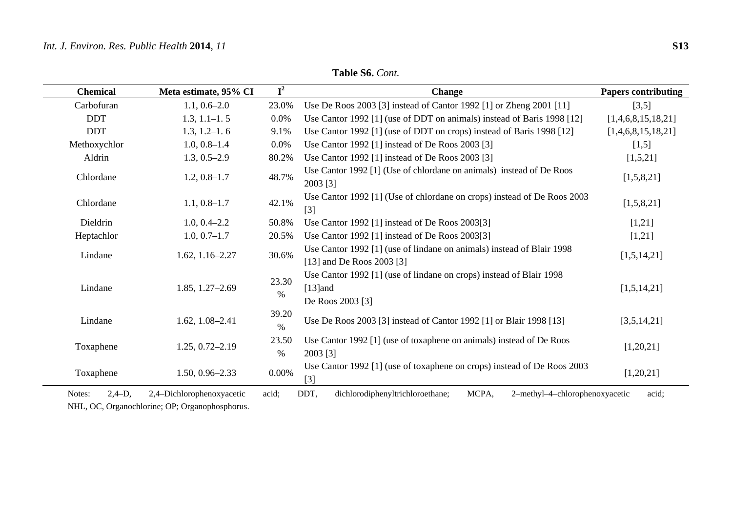| <b>Chemical</b>    | Meta estimate, 95% CI     | $I^2$         | <b>Change</b>                                                                                         | <b>Papers contributing</b> |
|--------------------|---------------------------|---------------|-------------------------------------------------------------------------------------------------------|----------------------------|
| Carbofuran         | $1.1, 0.6 - 2.0$          | 23.0%         | Use De Roos 2003 [3] instead of Cantor 1992 [1] or Zheng 2001 [11]                                    | [3,5]                      |
| <b>DDT</b>         | $1.3, 1.1 - 1.5$          | 0.0%          | Use Cantor 1992 [1] (use of DDT on animals) instead of Baris 1998 [12]                                | [1,4,6,8,15,18,21]         |
| <b>DDT</b>         | $1.3, 1.2 - 1.6$          | 9.1%          | Use Cantor 1992 [1] (use of DDT on crops) instead of Baris 1998 [12]                                  | [1,4,6,8,15,18,21]         |
| Methoxychlor       | $1.0, 0.8 - 1.4$          | $0.0\%$       | Use Cantor 1992 [1] instead of De Roos 2003 [3]                                                       | [1,5]                      |
| Aldrin             | $1.3, 0.5 - 2.9$          | 80.2%         | Use Cantor 1992 [1] instead of De Roos 2003 [3]                                                       | [1,5,21]                   |
| Chlordane          | $1.2, 0.8 - 1.7$          | 48.7%         | Use Cantor 1992 [1] (Use of chlordane on animals) instead of De Roos<br>2003 [3]                      | [1,5,8,21]                 |
| Chlordane          | $1.1, 0.8 - 1.7$          | 42.1%         | Use Cantor 1992 [1] (Use of chlordane on crops) instead of De Roos 2003<br>$[3]$                      | [1,5,8,21]                 |
| Dieldrin           | $1.0, 0.4 - 2.2$          | 50.8%         | Use Cantor 1992 [1] instead of De Roos 2003[3]                                                        | [1,21]                     |
| Heptachlor         | $1.0, 0.7 - 1.7$          | 20.5%         | Use Cantor 1992 [1] instead of De Roos 2003[3]                                                        | [1,21]                     |
| Lindane            | $1.62, 1.16 - 2.27$       | 30.6%         | Use Cantor 1992 [1] (use of lindane on animals) instead of Blair 1998<br>[13] and De Roos 2003 [3]    | [1,5,14,21]                |
| Lindane            | 1.85, 1.27-2.69           | 23.30<br>$\%$ | Use Cantor 1992 [1] (use of lindane on crops) instead of Blair 1998<br>$[13]$ and<br>De Roos 2003 [3] | [1,5,14,21]                |
| Lindane            | $1.62, 1.08 - 2.41$       | 39.20<br>$\%$ | Use De Roos 2003 [3] instead of Cantor 1992 [1] or Blair 1998 [13]                                    | [3,5,14,21]                |
| Toxaphene          | $1.25, 0.72 - 2.19$       | 23.50<br>$\%$ | Use Cantor 1992 [1] (use of toxaphene on animals) instead of De Roos<br>2003 [3]                      | [1,20,21]                  |
| Toxaphene          | $1.50, 0.96 - 2.33$       | $0.00\%$      | Use Cantor 1992 [1] (use of toxaphene on crops) instead of De Roos 2003<br>$\lceil 3 \rceil$          | [1,20,21]                  |
| $2,4-D,$<br>Notes: | 2,4-Dichlorophenoxyacetic | acid:         | DDT,<br>dichlorodiphenyltrichloroethane;<br>MCPA,<br>2-methyl-4-chlorophenoxyacetic                   | acid:                      |

**Table S6.** *Cont.* 

NHL, OC, Organochlorine; OP; Organophosphorus.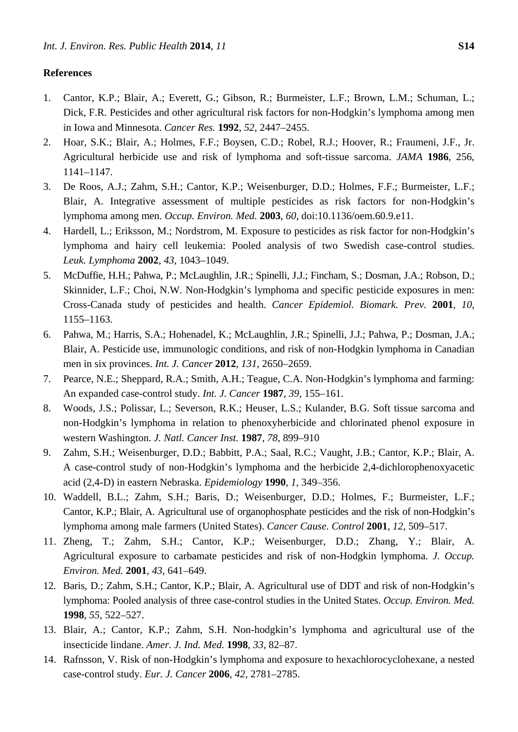## **References**

- 1. Cantor, K.P.; Blair, A.; Everett, G.; Gibson, R.; Burmeister, L.F.; Brown, L.M.; Schuman, L.; Dick, F.R. Pesticides and other agricultural risk factors for non-Hodgkin's lymphoma among men in Iowa and Minnesota. *Cancer Res.* **1992**, *52*, 2447–2455.
- 2. Hoar, S.K.; Blair, A.; Holmes, F.F.; Boysen, C.D.; Robel, R.J.; Hoover, R.; Fraumeni, J.F., Jr. Agricultural herbicide use and risk of lymphoma and soft-tissue sarcoma. *JAMA* **1986**, 256, 1141–1147.
- 3. De Roos, A.J.; Zahm, S.H.; Cantor, K.P.; Weisenburger, D.D.; Holmes, F.F.; Burmeister, L.F.; Blair, A. Integrative assessment of multiple pesticides as risk factors for non-Hodgkin's lymphoma among men. *Occup. Environ. Med.* **2003**, *60*, doi:10.1136/oem.60.9.e11.
- 4. Hardell, L.; Eriksson, M.; Nordstrom, M. Exposure to pesticides as risk factor for non-Hodgkin's lymphoma and hairy cell leukemia: Pooled analysis of two Swedish case-control studies. *Leuk. Lymphoma* **2002**, *43*, 1043–1049.
- 5. McDuffie, H.H.; Pahwa, P.; McLaughlin, J.R.; Spinelli, J.J.; Fincham, S.; Dosman, J.A.; Robson, D.; Skinnider, L.F.; Choi, N.W. Non-Hodgkin's lymphoma and specific pesticide exposures in men: Cross-Canada study of pesticides and health. *Cancer Epidemiol. Biomark. Prev.* **2001**, *10*, 1155–1163.
- 6. Pahwa, M.; Harris, S.A.; Hohenadel, K.; McLaughlin, J.R.; Spinelli, J.J.; Pahwa, P.; Dosman, J.A.; Blair, A. Pesticide use, immunologic conditions, and risk of non-Hodgkin lymphoma in Canadian men in six provinces. *Int. J. Cancer* **2012**, *131*, 2650–2659.
- 7. Pearce, N.E.; Sheppard, R.A.; Smith, A.H.; Teague, C.A. Non-Hodgkin's lymphoma and farming: An expanded case-control study. *Int. J. Cancer* **1987**, *39*, 155–161.
- 8. Woods, J.S.; Polissar, L.; Severson, R.K.; Heuser, L.S.; Kulander, B.G. Soft tissue sarcoma and non-Hodgkin's lymphoma in relation to phenoxyherbicide and chlorinated phenol exposure in western Washington. *J. Natl. Cancer Inst.* **1987**, *78*, 899–910
- 9. Zahm, S.H.; Weisenburger, D.D.; Babbitt, P.A.; Saal, R.C.; Vaught, J.B.; Cantor, K.P.; Blair, A. A case-control study of non-Hodgkin's lymphoma and the herbicide 2,4-dichlorophenoxyacetic acid (2,4-D) in eastern Nebraska. *Epidemiology* **1990**, *1*, 349–356.
- 10. Waddell, B.L.; Zahm, S.H.; Baris, D.; Weisenburger, D.D.; Holmes, F.; Burmeister, L.F.; Cantor, K.P.; Blair, A. Agricultural use of organophosphate pesticides and the risk of non-Hodgkin's lymphoma among male farmers (United States). *Cancer Cause. Control* **2001**, *12*, 509–517.
- 11. Zheng, T.; Zahm, S.H.; Cantor, K.P.; Weisenburger, D.D.; Zhang, Y.; Blair, A. Agricultural exposure to carbamate pesticides and risk of non-Hodgkin lymphoma. *J. Occup. Environ. Med.* **2001**, *43*, 641–649.
- 12. Baris, D.; Zahm, S.H.; Cantor, K.P.; Blair, A. Agricultural use of DDT and risk of non-Hodgkin's lymphoma: Pooled analysis of three case-control studies in the United States. *Occup. Environ. Med.*  **1998**, *55*, 522–527.
- 13. Blair, A.; Cantor, K.P.; Zahm, S.H. Non-hodgkin's lymphoma and agricultural use of the insecticide lindane. *Amer. J. Ind. Med.* **1998**, *33*, 82–87.
- 14. Rafnsson, V. Risk of non-Hodgkin's lymphoma and exposure to hexachlorocyclohexane, a nested case-control study. *Eur. J. Cancer* **2006**, *42*, 2781–2785.